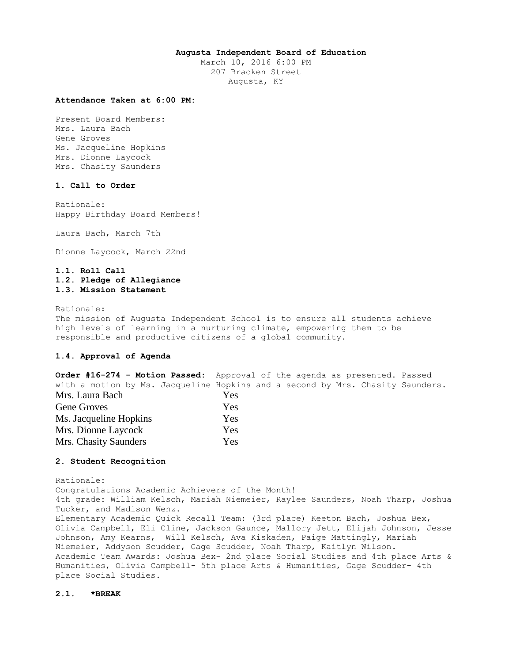### **Augusta Independent Board of Education**

March 10, 2016 6:00 PM 207 Bracken Street Augusta, KY

## **Attendance Taken at 6:00 PM:**

Present Board Members:

Mrs. Laura Bach Gene Groves Ms. Jacqueline Hopkins Mrs. Dionne Laycock Mrs. Chasity Saunders

## **1. Call to Order**

Rationale: Happy Birthday Board Members!

Laura Bach, March 7th

Dionne Laycock, March 22nd

# **1.1. Roll Call 1.2. Pledge of Allegiance 1.3. Mission Statement**

Rationale:

The mission of Augusta Independent School is to ensure all students achieve high levels of learning in a nurturing climate, empowering them to be responsible and productive citizens of a global community.

### **1.4. Approval of Agenda**

**Order #16-274 - Motion Passed:** Approval of the agenda as presented. Passed with a motion by Ms. Jacqueline Hopkins and a second by Mrs. Chasity Saunders. Mrs. Laura Bach Yes Gene Groves Yes Ms. Jacqueline Hopkins Yes Mrs. Dionne Laycock Yes Mrs. Chasity Saunders Yes

### **2. Student Recognition**

Rationale: Congratulations Academic Achievers of the Month! 4th grade: William Kelsch, Mariah Niemeier, Raylee Saunders, Noah Tharp, Joshua Tucker, and Madison Wenz. Elementary Academic Quick Recall Team: (3rd place) Keeton Bach, Joshua Bex, Olivia Campbell, Eli Cline, Jackson Gaunce, Mallory Jett, Elijah Johnson, Jesse Johnson, Amy Kearns, Will Kelsch, Ava Kiskaden, Paige Mattingly, Mariah Niemeier, Addyson Scudder, Gage Scudder, Noah Tharp, Kaitlyn Wilson. Academic Team Awards: Joshua Bex- 2nd place Social Studies and 4th place Arts & Humanities, Olivia Campbell- 5th place Arts & Humanities, Gage Scudder- 4th place Social Studies.

### **2.1. \*BREAK**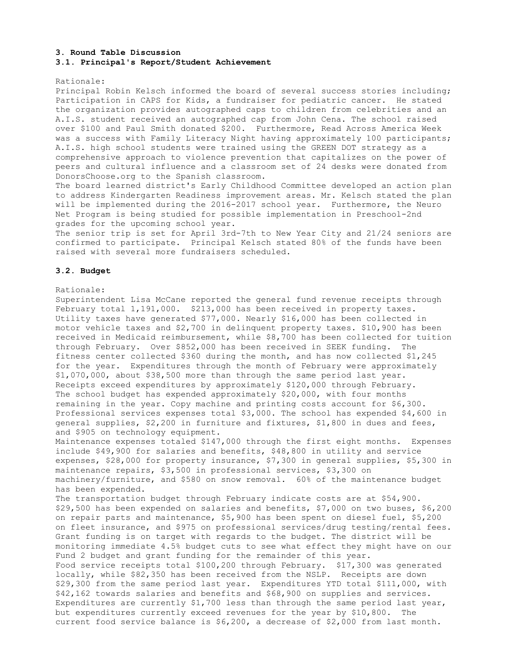### **3. Round Table Discussion 3.1. Principal's Report/Student Achievement**

#### Rationale:

Principal Robin Kelsch informed the board of several success stories including; Participation in CAPS for Kids, a fundraiser for pediatric cancer. He stated the organization provides autographed caps to children from celebrities and an A.I.S. student received an autographed cap from John Cena. The school raised over \$100 and Paul Smith donated \$200. Furthermore, Read Across America Week was a success with Family Literacy Night having approximately 100 participants; A.I.S. high school students were trained using the GREEN DOT strategy as a comprehensive approach to violence prevention that capitalizes on the power of peers and cultural influence and a classroom set of 24 desks were donated from DonorsChoose.org to the Spanish classroom.

The board learned district's Early Childhood Committee developed an action plan to address Kindergarten Readiness improvement areas. Mr. Kelsch stated the plan will be implemented during the 2016-2017 school year. Furthermore, the Neuro Net Program is being studied for possible implementation in Preschool-2nd grades for the upcoming school year.

The senior trip is set for April 3rd-7th to New Year City and 21/24 seniors are confirmed to participate. Principal Kelsch stated 80% of the funds have been raised with several more fundraisers scheduled.

### **3.2. Budget**

### Rationale:

Superintendent Lisa McCane reported the general fund revenue receipts through February total 1,191,000. \$213,000 has been received in property taxes. Utility taxes have generated \$77,000. Nearly \$16,000 has been collected in motor vehicle taxes and \$2,700 in delinquent property taxes. \$10,900 has been received in Medicaid reimbursement, while \$8,700 has been collected for tuition through February. Over \$852,000 has been received in SEEK funding. The fitness center collected \$360 during the month, and has now collected \$1,245 for the year. Expenditures through the month of February were approximately \$1,070,000, about \$38,500 more than through the same period last year. Receipts exceed expenditures by approximately \$120,000 through February. The school budget has expended approximately \$20,000, with four months remaining in the year. Copy machine and printing costs account for \$6,300. Professional services expenses total \$3,000. The school has expended \$4,600 in general supplies, \$2,200 in furniture and fixtures, \$1,800 in dues and fees, and \$905 on technology equipment. Maintenance expenses totaled \$147,000 through the first eight months. Expenses include \$49,900 for salaries and benefits, \$48,800 in utility and service expenses, \$28,000 for property insurance, \$7,300 in general supplies, \$5,300 in maintenance repairs, \$3,500 in professional services, \$3,300 on machinery/furniture, and \$580 on snow removal. 60% of the maintenance budget has been expended. The transportation budget through February indicate costs are at \$54,900. \$29,500 has been expended on salaries and benefits, \$7,000 on two buses, \$6,200 on repair parts and maintenance, \$5,900 has been spent on diesel fuel, \$5,200 on fleet insurance, and \$975 on professional services/drug testing/rental fees. Grant funding is on target with regards to the budget. The district will be monitoring immediate 4.5% budget cuts to see what effect they might have on our Fund 2 budget and grant funding for the remainder of this year. Food service receipts total \$100,200 through February. \$17,300 was generated locally, while \$82,350 has been received from the NSLP. Receipts are down \$29,300 from the same period last year. Expenditures YTD total \$111,000, with \$42,162 towards salaries and benefits and \$68,900 on supplies and services. Expenditures are currently \$1,700 less than through the same period last year, but expenditures currently exceed revenues for the year by \$10,800. The current food service balance is \$6,200, a decrease of \$2,000 from last month.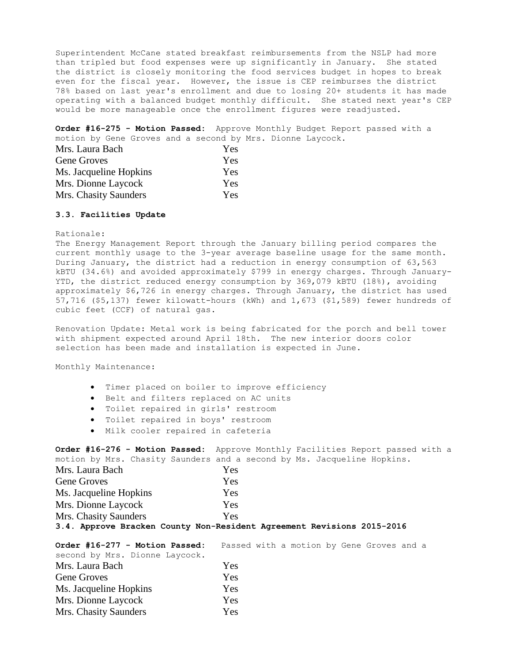Superintendent McCane stated breakfast reimbursements from the NSLP had more than tripled but food expenses were up significantly in January. She stated the district is closely monitoring the food services budget in hopes to break even for the fiscal year. However, the issue is CEP reimburses the district 78% based on last year's enrollment and due to losing 20+ students it has made operating with a balanced budget monthly difficult. She stated next year's CEP would be more manageable once the enrollment figures were readjusted.

**Order #16-275 - Motion Passed:** Approve Monthly Budget Report passed with a motion by Gene Groves and a second by Mrs. Dionne Laycock.

| Mrs. Laura Bach        | <b>Yes</b> |
|------------------------|------------|
| Gene Groves            | Yes        |
| Ms. Jacqueline Hopkins | Yes        |
| Mrs. Dionne Laycock    | <b>Yes</b> |
| Mrs. Chasity Saunders  | <b>Yes</b> |

# **3.3. Facilities Update**

### Rationale:

The Energy Management Report through the January billing period compares the current monthly usage to the 3-year average baseline usage for the same month. During January, the district had a reduction in energy consumption of 63,563 kBTU (34.6%) and avoided approximately \$799 in energy charges. Through January-YTD, the district reduced energy consumption by 369,079 kBTU (18%), avoiding approximately \$6,726 in energy charges. Through January, the district has used 57,716 (\$5,137) fewer kilowatt-hours (kWh) and 1,673 (\$1,589) fewer hundreds of cubic feet (CCF) of natural gas.

Renovation Update: Metal work is being fabricated for the porch and bell tower with shipment expected around April 18th. The new interior doors color selection has been made and installation is expected in June.

Monthly Maintenance:

- Timer placed on boiler to improve efficiency
- Belt and filters replaced on AC units
- Toilet repaired in girls' restroom
- Toilet repaired in boys' restroom
- Milk cooler repaired in cafeteria

**Order #16-276 - Motion Passed:** Approve Monthly Facilities Report passed with a motion by Mrs. Chasity Saunders and a second by Ms. Jacqueline Hopkins.

| Mrs. Laura Bach                                                        | Yes  |  |  |
|------------------------------------------------------------------------|------|--|--|
| Gene Groves                                                            | Yes  |  |  |
| Ms. Jacqueline Hopkins                                                 | Yes. |  |  |
| Mrs. Dionne Laycock                                                    | Yes. |  |  |
| Mrs. Chasity Saunders                                                  | Yes  |  |  |
| 3.4. Approve Bracken County Non-Resident Agreement Revisions 2015-2016 |      |  |  |

| Order #16-277 - Motion Passed: |            |  |  | Passed with a motion by Gene Groves and a |  |
|--------------------------------|------------|--|--|-------------------------------------------|--|
| second by Mrs. Dionne Laycock. |            |  |  |                                           |  |
| Mrs. Laura Bach                | <b>Yes</b> |  |  |                                           |  |
| Gene Groves                    | Yes        |  |  |                                           |  |
| Ms. Jacqueline Hopkins         | Yes        |  |  |                                           |  |
| Mrs. Dionne Laycock            | Yes        |  |  |                                           |  |
| Mrs. Chasity Saunders          | Yes        |  |  |                                           |  |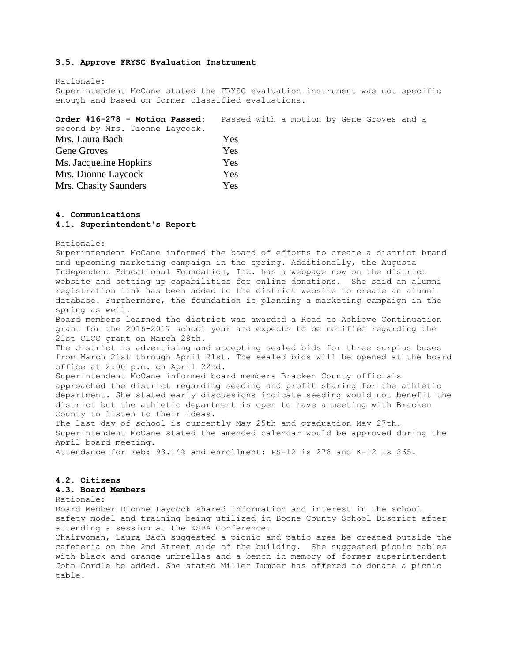### **3.5. Approve FRYSC Evaluation Instrument**

Rationale: Superintendent McCane stated the FRYSC evaluation instrument was not specific enough and based on former classified evaluations.

| Order #16-278 - Motion Passed: |     |  | Passed with a motion by Gene Groves and a |  |  |  |
|--------------------------------|-----|--|-------------------------------------------|--|--|--|
| second by Mrs. Dionne Laycock. |     |  |                                           |  |  |  |
| Mrs. Laura Bach                | Yes |  |                                           |  |  |  |
| Gene Groves                    | Yes |  |                                           |  |  |  |
| Ms. Jacqueline Hopkins         | Yes |  |                                           |  |  |  |
| Mrs. Dionne Laycock            | Yes |  |                                           |  |  |  |
| Mrs. Chasity Saunders          | Yes |  |                                           |  |  |  |
|                                |     |  |                                           |  |  |  |

#### **4. Communications**

# **4.1. Superintendent's Report**

Rationale:

Superintendent McCane informed the board of efforts to create a district brand and upcoming marketing campaign in the spring. Additionally, the Augusta Independent Educational Foundation, Inc. has a webpage now on the district website and setting up capabilities for online donations. She said an alumni registration link has been added to the district website to create an alumni database. Furthermore, the foundation is planning a marketing campaign in the spring as well. Board members learned the district was awarded a Read to Achieve Continuation

grant for the 2016-2017 school year and expects to be notified regarding the 21st CLCC grant on March 28th.

The district is advertising and accepting sealed bids for three surplus buses from March 21st through April 21st. The sealed bids will be opened at the board office at 2:00 p.m. on April 22nd.

Superintendent McCane informed board members Bracken County officials approached the district regarding seeding and profit sharing for the athletic department. She stated early discussions indicate seeding would not benefit the district but the athletic department is open to have a meeting with Bracken County to listen to their ideas.

The last day of school is currently May 25th and graduation May 27th. Superintendent McCane stated the amended calendar would be approved during the April board meeting.

Attendance for Feb: 93.14% and enrollment: PS-12 is 278 and K-12 is 265.

### **4.2. Citizens**

# **4.3. Board Members**

Rationale:

Board Member Dionne Laycock shared information and interest in the school safety model and training being utilized in Boone County School District after attending a session at the KSBA Conference.

Chairwoman, Laura Bach suggested a picnic and patio area be created outside the cafeteria on the 2nd Street side of the building. She suggested picnic tables with black and orange umbrellas and a bench in memory of former superintendent John Cordle be added. She stated Miller Lumber has offered to donate a picnic table.